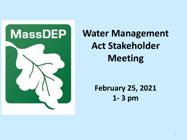

**Water Management Act Stakeholder Meeting**

> **February 25, 2021 1- 3 pm**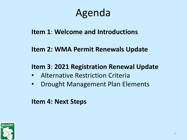### Agenda

#### **Item 1**: **Welcome and Introductions**

#### **Item 2: WMA Permit Renewals Update**

#### **Item 3**: **2021 Registration Renewal Update**

- Alternative Restriction Criteria
- Drought Management Plan Elements

#### **Item 4: Next Steps**

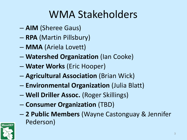## WMA Stakeholders

- **AIM** (Sheree Gaus)
- **RPA** (Martin Pillsbury)
- **MMA** (Ariela Lovett)
- **Watershed Organization** (Ian Cooke)
- **Water Works** (Eric Hooper)
- **Agricultural Association** (Brian Wick)
- **Environmental Organization** (Julia Blatt)
- **Well Driller Assoc.** (Roger Skillings)
- **Consumer Organization** (TBD)
- **2 Public Members** (Wayne Castonguay & Jennifer Pederson)

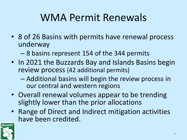## WMA Permit Renewals

- 8 of 26 Basins with permits have renewal process underway
	- 8 basins represent 154 of the 344 permits
- In 2021 the Buzzards Bay and Islands Basins begin review process (42 additional permits)
	- Additional basins will begin the review process in our central and western regions
- Overall renewal volumes appear to be trending slightly lower than the prior allocations
- Range of Direct and Indirect mitigation activities have been credited.

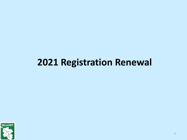### **2021 Registration Renewal**

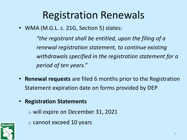### Registration Renewals

• WMA (M.G.L. c. 21G, Section 5) states:

*"the registrant shall be entitled, upon the filing of a renewal registration statement, to continue existing withdrawals specified in the registration statement for a period of ten years."*

- **Renewal requests** are filed 6 months prior to the Registration Statement expiration date on forms provided by DEP
- **Registration Statements**
	- o will expire on December 31, 2021



o cannot exceed 10 years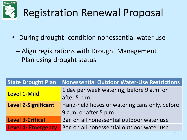

# Registration Renewal Proposal

- During drought- condition nonessential water use
	- Align registrations with Drought Management Plan using drought status

| <b>State Drought Plan</b>  | Nonessential Outdoor Water-Use Restrictions                             |
|----------------------------|-------------------------------------------------------------------------|
| Level 1-Mild               | 1 day per week watering, before 9 a.m. or<br>after 5 p.m.               |
| <b>Level 2-Significant</b> | Hand-held hoses or watering cans only, before<br>9 a.m. or after 5 p.m. |
| <b>Level 3-Critical</b>    | Ban on all nonessential outdoor water use                               |
| <b>Level 4- Emergency</b>  | Ban on all nonessential outdoor water use                               |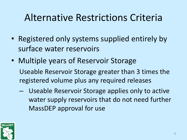### Alternative Restrictions Criteria

- Registered only systems supplied entirely by surface water reservoirs
- Multiple years of Reservoir Storage Useable Reservoir Storage greater than 3 times the registered volume plus any required releases
	- Useable Reservoir Storage applies only to active water supply reservoirs that do not need further MassDEP approval for use

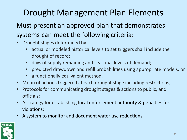### Drought Management Plan Elements

#### Must present an approved plan that demonstrates systems can meet the following criteria:

- Drought stages determined by:
	- actual or modeled historical levels to set triggers shall include the drought of record;
	- days of supply remaining and seasonal levels of demand;
	- predicted drawdown and refill probabilities using appropriate models; or
	- a functionally equivalent method.
- Menu of actions triggered at each drought stage including restrictions;
- Protocols for communicating drought stages & actions to public, and officials;
- A strategy for establishing local enforcement authority & penalties for violations;
- A system to monitor and document water use reductions

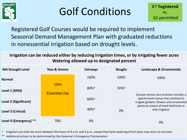

## Golf Conditions

Registered Golf Courses would be required to implement Seasonal Demand Management Plan with graduated reductions in nonessential irrigation based on drought levels.

**Irrigation can be reduced either by reducing irrigation times, or by irrigating fewer acres Watering allowed up to designated percent**

| <b>MA Drought Level</b> | <b>Tees &amp; Greens</b> | <b>Fairways</b>    | <b>Roughs</b> | Landscape & Ornamentals                                                                                                 |
|-------------------------|--------------------------|--------------------|---------------|-------------------------------------------------------------------------------------------------------------------------|
| <b>Normal</b>           | 100%                     | 100%               | 100%          | 100%                                                                                                                    |
| Level 1 (Mild)          | <b>Essential Use</b>     | $80%$ <sup>+</sup> | 50%+          | Courses whose core business includes a                                                                                  |
| Level 2 (Significant)   |                          | 60%+               |               | special event venue may continue to<br>irrigate gardens, flowers and ornamental<br>plants by means of hand-held hose or |
| Level 3 (Critical)      |                          | $40%$ <sup>+</sup> | 0%            | drip irrigation                                                                                                         |
| Level 4 (Emergency) **  | <b>TBD</b>               | 0%                 |               | 0%                                                                                                                      |

† Irrigation use shall not occur between the hours of 9 a.m. and 5 p.m., except that hand-watering of hot spots may occur at any time

\*\* Additional actions to be determined by the Governor's Emergency Proclamation.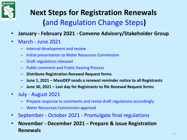

#### **Next Steps for Registration Renewals (**and Regulation Change Steps**)**

- **January - February 2021 - Convene Advisory/Stakeholder Group**
- March June 2021
	- Internal development and review
	- Initial presentation to Water Resources Commission
	- Draft regulations released
	- Public comment and Public hearing Process
	- **Distribute Registration Renewal Request forms**
	- **June 1, 2021 – MassDEP sends a renewal reminder notice to all Registrants**
	- **June 30, 2021 – Last day for Registrants to file Renewal Request forms**
- July August 2021
	- Prepare response to comments and revise draft regulations accordingly
	- Water Resources Commission approval
- September October 2021 Promulgate final regulations
- **November - December 2021 – Prepare & issue Registration Renewals**